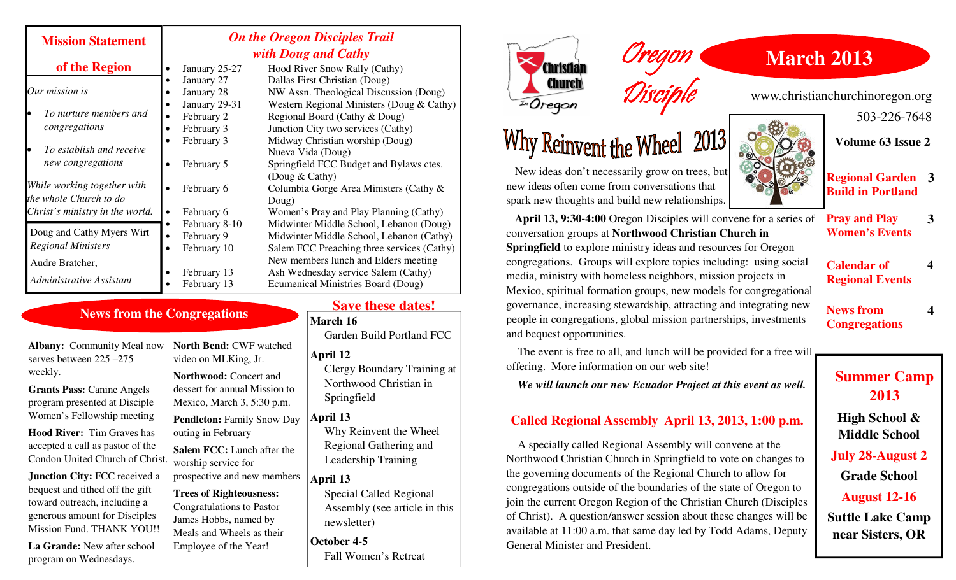| <b>Mission Statement</b>                               | <b>On the Oregon Disciples Trail</b><br>with Doug and Cathy |               |                                                           |
|--------------------------------------------------------|-------------------------------------------------------------|---------------|-----------------------------------------------------------|
| of the Region                                          |                                                             | January 25-27 | Hood River Snow Rally (Cathy)                             |
| Our mission is                                         |                                                             | January 27    | Dallas First Christian (Doug)                             |
|                                                        |                                                             | January 28    | NW Assn. Theological Discussion (Doug)                    |
| To nurture members and<br>congregations                |                                                             | January 29-31 | Western Regional Ministers (Doug & Cathy)                 |
|                                                        |                                                             | February 2    | Regional Board (Cathy & Doug)                             |
|                                                        |                                                             | February 3    | Junction City two services (Cathy)                        |
|                                                        |                                                             | February 3    | Midway Christian worship (Doug)                           |
| To establish and receive<br>new congregations          |                                                             |               | Nueva Vida (Doug)                                         |
|                                                        |                                                             | February 5    | Springfield FCC Budget and Bylaws ctes.<br>(Doug & Cathy) |
| While working together with                            |                                                             | February 6    | Columbia Gorge Area Ministers (Cathy $\&$                 |
| the whole Church to do                                 |                                                             |               | Doug)                                                     |
| Christ's ministry in the world.                        |                                                             | February 6    | Women's Pray and Play Planning (Cathy)                    |
| Doug and Cathy Myers Wirt<br><b>Regional Ministers</b> |                                                             | February 8-10 | Midwinter Middle School, Lebanon (Doug)                   |
|                                                        |                                                             | February 9    | Midwinter Middle School, Lebanon (Cathy)                  |
|                                                        |                                                             | February 10   | Salem FCC Preaching three services (Cathy)                |
| Audre Bratcher,                                        |                                                             |               | New members lunch and Elders meeting                      |
| Administrative Assistant                               |                                                             | February 13   | Ash Wednesday service Salem (Cathy)                       |
|                                                        |                                                             | February 13   | <b>Ecumenical Ministries Board (Doug)</b>                 |

## **News from the Congregations**

**Albany:** Community Meal now serves between 225 –275 weekly.

**Grants Pass:** Canine Angels program presented at Disciple Women's Fellowship meeting

**Hood River:** Tim Graves has accepted a call as pastor of the Condon United Church of Christ.

**Junction City: FCC received a** bequest and tithed off the gift toward outreach, including a generous amount for Disciples Mission Fund. THANK YOU!!

**La Grande:** New after school program on Wednesdays.

**North Bend:** CWF watched video on MLKing, Jr.

**Northwood:** Concert and dessert for annual Mission to Mexico, March 3, 5:30 p.m.

**Pendleton:** Family Snow Day outing in February

**Salem FCC:** Lunch after the worship service for

prospective and new members

#### **Trees of Righteousness:**

Congratulations to Pastor James Hobbs, named by Meals and Wheels as their Employee of the Year!

**Save these dates!** 

**March 16** 

Garden Build Portland FCC

#### **April 12**

 Clergy Boundary Training at Northwood Christian in Springfield

### **April 13**

 Why Reinvent the Wheel Regional Gathering and Leadership Training

**April 13** 

 Special Called Regional Assembly (see article in this newsletter)

**October 4-5** Fall Women's Retreat





 New ideas don't necessarily grow on trees, but new ideas often come from conversations that spark new thoughts and build new relationships.

**April 13, 9:30-4:00** Oregon Disciples will convene for a series of conversation groups at **Northwood Christian Church in Springfield** to explore ministry ideas and resources for Oregon congregations. Groups will explore topics including: using social media, ministry with homeless neighbors, mission projects in Mexico, spiritual formation groups, new models for congregational governance, increasing stewardship, attracting and integrating new people in congregations, global mission partnerships, investments and bequest opportunities.

Oregon

Disciple

 The event is free to all, and lunch will be provided for a free will offering. More information on our web site!

*We will launch our new Ecuador Project at this event as well.* 

### **Called Regional Assembly April 13, 2013, 1:00 p.m.**

 A specially called Regional Assembly will convene at the Northwood Christian Church in Springfield to vote on changes to the governing documents of the Regional Church to allow for congregations outside of the boundaries of the state of Oregon to join the current Oregon Region of the Christian Church (Disciples of Christ). A question/answer session about these changes will be available at 11:00 a.m. that same day led by Todd Adams, Deputy General Minister and President.

**March 2013** 

www.christianchurchinoregon.org

503-226-7648

**Volume 63 Issue 2** 



**Regional Garden 3 Build in Portland** 

**Pray and Play Women's Events 3**

 **4** 

**4**

**Calendar of Regional Events** 

**News from Congregations** 

**Summer Camp 2013** 

**High School & Middle School** 

**July 28-August 2** 

**Grade School** 

**August 12-16** 

**Suttle Lake Camp near Sisters, OR**